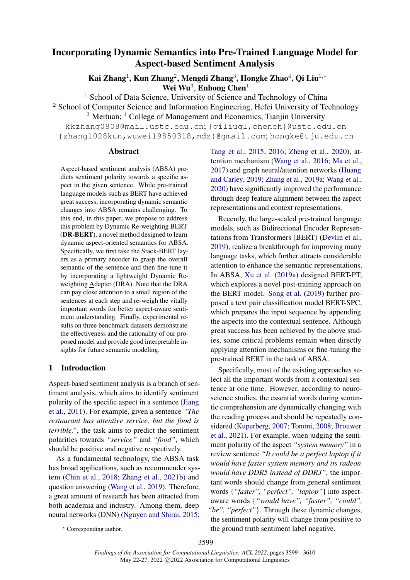# <span id="page-0-0"></span>Incorporating Dynamic Semantics into Pre-Trained Language Model for Aspect-based Sentiment Analysis

Kai Zhang<sup>1</sup>, Kun Zhang<sup>2</sup>, Mengdi Zhang<sup>3</sup>, Hongke Zhao<sup>4</sup>, Qi Liu<sup>1,</sup>\* Wei Wu<sup>3</sup>, Enhong Chen<sup>1</sup>

<sup>1</sup> School of Data Science, University of Science and Technology of China <sup>2</sup> School of Computer Science and Information Engineering, Hefei University of Technology  $3$  Meituan;  $4$  College of Management and Economics, Tianjin University kkzhang0808@mail.ustc.edu.cn; {qiliuql,cheneh}@ustc.edu.cn {zhang1028kun,wuwei19850318,mdz}@gmail.com; hongke@tju.edu.cn

### Abstract

Aspect-based sentiment analysis (ABSA) predicts sentiment polarity towards a specific aspect in the given sentence. While pre-trained language models such as BERT have achieved great success, incorporating dynamic semantic changes into ABSA remains challenging. To this end, in this paper, we propose to address this problem by Dynamic Re-weighting BERT (DR-BERT), a novel method designed to learn dynamic aspect-oriented semantics for ABSA. Specifically, we first take the Stack-BERT layers as a primary encoder to grasp the overall semantic of the sentence and then fine-tune it by incorporating a lightweight Dynamic Reweighting Adapter (DRA). Note that the DRA can pay close attention to a small region of the sentences at each step and re-weigh the vitally important words for better aspect-aware sentiment understanding. Finally, experimental results on three benchmark datasets demonstrate the effectiveness and the rationality of our proposed model and provide good interpretable insights for future semantic modeling.

# 1 Introduction

Aspect-based sentiment analysis is a branch of sentiment analysis, which aims to identify sentiment polarity of the specific aspect in a sentence [\(Jiang](#page-9-0) [et al.,](#page-9-0) [2011\)](#page-9-0). For example, given a sentence *"The restaurant has attentive service, but the food is terrible."*, the task aims to predict the sentiment polarities towards *"service"* and *"food"*, which should be positive and negative respectively.

As a fundamental technology, the ABSA task has broad applications, such as recommender system [\(Chin et al.,](#page-9-1) [2018;](#page-9-1) [Zhang et al.,](#page-11-0) [2021b\)](#page-11-0) and question answering [\(Wang et al.,](#page-11-1) [2019\)](#page-11-1). Therefore, a great amount of research has been attracted from both academia and industry. Among them, deep neural networks (DNN) [\(Nguyen and Shirai,](#page-10-0) [2015;](#page-10-0)

[Tang et al.,](#page-10-1) [2015,](#page-10-1) [2016;](#page-10-2) [Zheng et al.,](#page-11-2) [2020\)](#page-11-2), attention mechanism [\(Wang et al.,](#page-11-3) [2016;](#page-11-3) [Ma et al.,](#page-10-3) [2017\)](#page-10-3) and graph neural/attention networks [\(Huang](#page-9-2) [and Carley,](#page-9-2) [2019;](#page-9-2) [Zhang et al.,](#page-11-4) [2019a;](#page-11-4) [Wang et al.,](#page-11-5) [2020\)](#page-11-5) have significantly improved the performance through deep feature alignment between the aspect representations and context representations.

Recently, the large-scaled pre-trained language models, such as Bidirectional Encoder Representations from Transformers (BERT) [\(Devlin et al.,](#page-9-3) [2019\)](#page-9-3), realize a breakthrough for improving many language tasks, which further attracts considerable attention to enhance the semantic representations. In ABSA, [Xu et al.](#page-11-6) [\(2019a\)](#page-11-6) designed BERT-PT, which explores a novel post-training approach on the BERT model. [Song et al.](#page-10-4) [\(2019\)](#page-10-4) further proposed a text pair classification model BERT-SPC, which prepares the input sequence by appending the aspects into the contextual sentence. Although great success has been achieved by the above studies, some critical problems remain when directly applying attention mechanisms or fine-tuning the pre-trained BERT in the task of ABSA.

Specifically, most of the existing approaches select all the important words from a contextual sentence at one time. However, according to neuroscience studies, the essential words during semantic comprehension are dynamically changing with the reading process and should be repeatedly considered [\(Kuperberg,](#page-9-4) [2007;](#page-9-4) [Tononi,](#page-11-7) [2008;](#page-11-7) [Brouwer](#page-9-5) [et al.,](#page-9-5) [2021\)](#page-9-5). For example, when judging the sentiment polarity of the aspect *"system memory"* in a review sentence *"It could be a perfect laptop if it would have faster system memory and its radeon would have DDR5 instead of DDR3"*, the important words should change from general sentiment words {*"faster", "perfect", "laptop"*} into aspectaware words {*"would have", "faster", "could", "be", "perfect"*}. Through these dynamic changes, the sentiment polarity will change from positive to the ground truth sentiment label negative.

<sup>∗</sup> Corresponding author.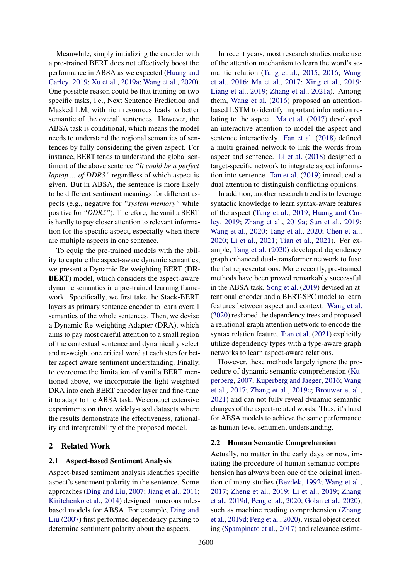Meanwhile, simply initializing the encoder with a pre-trained BERT does not effectively boost the performance in ABSA as we expected [\(Huang and](#page-9-2) [Carley,](#page-9-2) [2019;](#page-9-2) [Xu et al.,](#page-11-6) [2019a;](#page-11-6) [Wang et al.,](#page-11-5) [2020\)](#page-11-5). One possible reason could be that training on two specific tasks, i.e., Next Sentence Prediction and Masked LM, with rich resources leads to better semantic of the overall sentences. However, the ABSA task is conditional, which means the model needs to understand the regional semantics of sentences by fully considering the given aspect. For instance, BERT tends to understand the global sentiment of the above sentence *"It could be a perfect laptop ... of DDR3"* regardless of which aspect is given. But in ABSA, the sentence is more likely to be different sentiment meanings for different aspects (e.g., negative for *"system memory"* while positive for *"DDR5"*). Therefore, the vanilla BERT is hardly to pay closer attention to relevant information for the specific aspect, especially when there are multiple aspects in one sentence.

To equip the pre-trained models with the ability to capture the aspect-aware dynamic semantics, we present a Dynamic Re-weighting BERT (DR-BERT) model, which considers the aspect-aware dynamic semantics in a pre-trained learning framework. Specifically, we first take the Stack-BERT layers as primary sentence encoder to learn overall semantics of the whole sentences. Then, we devise a Dynamic Re-weighting Adapter (DRA), which aims to pay most careful attention to a small region of the contextual sentence and dynamically select and re-weight one critical word at each step for better aspect-aware sentiment understanding. Finally, to overcome the limitation of vanilla BERT mentioned above, we incorporate the light-weighted DRA into each BERT encoder layer and fine-tune it to adapt to the ABSA task. We conduct extensive experiments on three widely-used datasets where the results demonstrate the effectiveness, rationality and interpretability of the proposed model.

# 2 Related Work

# <span id="page-1-0"></span>2.1 Aspect-based Sentiment Analysis

Aspect-based sentiment analysis identifies specific aspect's sentiment polarity in the sentence. Some approaches [\(Ding and Liu,](#page-9-6) [2007;](#page-9-6) [Jiang et al.,](#page-9-0) [2011;](#page-9-0) [Kiritchenko et al.,](#page-9-7) [2014\)](#page-9-7) designed numerous rulesbased models for ABSA. For example, [Ding and](#page-9-6) [Liu](#page-9-6) [\(2007\)](#page-9-6) first performed dependency parsing to determine sentiment polarity about the aspects.

In recent years, most research studies make use of the attention mechanism to learn the word's semantic relation [\(Tang et al.,](#page-10-1) [2015,](#page-10-1) [2016;](#page-10-2) [Wang](#page-11-3) [et al.,](#page-11-3) [2016;](#page-11-3) [Ma et al.,](#page-10-3) [2017;](#page-10-3) [Xing et al.,](#page-11-8) [2019;](#page-11-8) [Liang et al.,](#page-10-5) [2019;](#page-10-5) [Zhang et al.,](#page-11-9) [2021a\)](#page-11-9). Among them, [Wang et al.](#page-11-3) [\(2016\)](#page-11-3) proposed an attentionbased LSTM to identify important information relating to the aspect. [Ma et al.](#page-10-3) [\(2017\)](#page-10-3) developed an interactive attention to model the aspect and sentence interactively. [Fan et al.](#page-9-8) [\(2018\)](#page-9-8) defined a multi-grained network to link the words from aspect and sentence. [Li et al.](#page-10-6) [\(2018\)](#page-10-6) designed a target-specific network to integrate aspect information into sentence. [Tan et al.](#page-10-7) [\(2019\)](#page-10-7) introduced a dual attention to distinguish conflicting opinions.

In addition, another research trend is to leverage syntactic knowledge to learn syntax-aware features of the aspect [\(Tang et al.,](#page-10-8) [2019;](#page-10-8) [Huang and Car](#page-9-2)[ley,](#page-9-2) [2019;](#page-9-2) [Zhang et al.,](#page-11-4) [2019a;](#page-11-4) [Sun et al.,](#page-10-9) [2019;](#page-10-9) [Wang et al.,](#page-11-5) [2020;](#page-11-5) [Tang et al.,](#page-10-10) [2020;](#page-10-10) [Chen et al.,](#page-9-9) [2020;](#page-9-9) [Li et al.,](#page-9-10) [2021;](#page-9-10) [Tian et al.,](#page-11-10) [2021\)](#page-11-10). For example, [Tang et al.](#page-10-10) [\(2020\)](#page-10-10) developed dependency graph enhanced dual-transformer network to fuse the flat representations. More recently, pre-trained methods have been proved remarkably successful in the ABSA task. [Song et al.](#page-10-4) [\(2019\)](#page-10-4) devised an attentional encoder and a BERT-SPC model to learn features between aspect and context. [Wang et al.](#page-11-5) [\(2020\)](#page-11-5) reshaped the dependency trees and proposed a relational graph attention network to encode the syntax relation feature. [Tian et al.](#page-11-10) [\(2021\)](#page-11-10) explicitly utilize dependency types with a type-aware graph networks to learn aspect-aware relations.

However, these methods largely ignore the procedure of dynamic semantic comprehension [\(Ku](#page-9-4)[perberg,](#page-9-4) [2007;](#page-9-4) [Kuperberg and Jaeger,](#page-9-11) [2016;](#page-9-11) [Wang](#page-11-11) [et al.,](#page-11-11) [2017;](#page-11-11) [Zhang et al.,](#page-11-12) [2019c;](#page-11-12) [Brouwer et al.,](#page-9-5) [2021\)](#page-9-5) and can not fully reveal dynamic semantic changes of the aspect-related words. Thus, it's hard for ABSA models to achieve the same performance as human-level sentiment understanding.

### 2.2 Human Semantic Comprehension

Actually, no matter in the early days or now, imitating the procedure of human semantic comprehension has always been one of the original intention of many studies [\(Bezdek,](#page-9-12) [1992;](#page-9-12) [Wang et al.,](#page-11-11) [2017;](#page-11-11) [Zheng et al.,](#page-11-13) [2019;](#page-11-13) [Li et al.,](#page-10-11) [2019;](#page-10-11) [Zhang](#page-11-14) [et al.,](#page-11-14) [2019d;](#page-11-14) [Peng et al.,](#page-10-12) [2020;](#page-10-12) [Golan et al.,](#page-9-13) [2020\)](#page-9-13), such as machine reading comprehension [\(Zhang](#page-11-14) [et al.,](#page-11-14) [2019d;](#page-11-14) [Peng et al.,](#page-10-12) [2020\)](#page-10-12), visual object detecting [\(Spampinato et al.,](#page-10-13) [2017\)](#page-10-13) and relevance estima-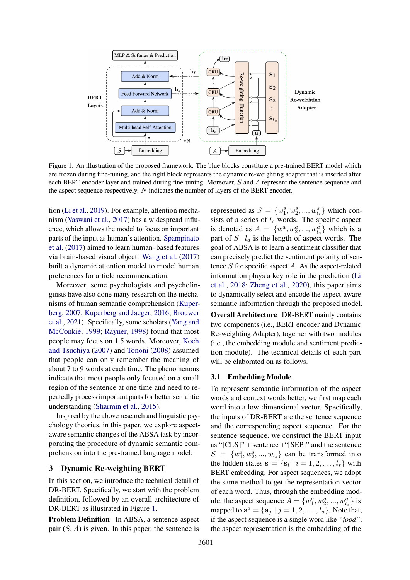<span id="page-2-0"></span>

Figure 1: An illustration of the proposed framework. The blue blocks constitute a pre-trained BERT model which are frozen during fine-tuning, and the right block represents the dynamic re-weighting adapter that is inserted after each BERT encoder layer and trained during fine-tuning. Moreover, S and A represent the sentence sequence and the aspect sequence respectively. N indicates the number of layers of the BERT encoder.

tion [\(Li et al.,](#page-10-11) [2019\)](#page-10-11). For example, attention mechanism [\(Vaswani et al.,](#page-11-15) [2017\)](#page-11-15) has a widespread influence, which allows the model to focus on important parts of the input as human's attention. [Spampinato](#page-10-13) [et al.](#page-10-13) [\(2017\)](#page-10-13) aimed to learn human–based features via brain-based visual object. [Wang et al.](#page-11-11) [\(2017\)](#page-11-11) built a dynamic attention model to model human preferences for article recommendation.

Moreover, some psychologists and psycholinguists have also done many research on the mechanisms of human semantic comprehension [\(Kuper](#page-9-4)[berg,](#page-9-4) [2007;](#page-9-4) [Kuperberg and Jaeger,](#page-9-11) [2016;](#page-9-11) [Brouwer](#page-9-5) [et al.,](#page-9-5) [2021\)](#page-9-5). Specifically, some scholars [\(Yang and](#page-11-16) [McConkie,](#page-11-16) [1999;](#page-11-16) [Rayner,](#page-10-14) [1998\)](#page-10-14) found that most people may focus on 1.5 words. Moreover, [Koch](#page-9-14) [and Tsuchiya](#page-9-14) [\(2007\)](#page-9-14) and [Tononi](#page-11-7) [\(2008\)](#page-11-7) assumed that people can only remember the meaning of about 7 to 9 words at each time. The phenomenons indicate that most people only focused on a small region of the sentence at one time and need to repeatedly process important parts for better semantic understanding [\(Sharmin et al.,](#page-10-15) [2015\)](#page-10-15).

Inspired by the above research and linguistic psychology theories, in this paper, we explore aspectaware semantic changes of the ABSA task by incorporating the procedure of dynamic semantic comprehension into the pre-trained language model.

# 3 Dynamic Re-weighting BERT

In this section, we introduce the technical detail of DR-BERT. Specifically, we start with the problem definition, followed by an overall architecture of DR-BERT as illustrated in Figure [1.](#page-2-0)

Problem Definition In ABSA, a sentence-aspect pair  $(S, A)$  is given. In this paper, the sentence is

represented as  $S = \{w_1^s, w_2^s, ..., w_{l_s}^s\}$  which consists of a series of  $l_s$  words. The specific aspect is denoted as  $A = \{w_1^a, w_2^a, ..., w_{l_a}^a\}$  which is a part of S.  $l_a$  is the length of aspect words. The goal of ABSA is to learn a sentiment classifier that can precisely predict the sentiment polarity of sentence  $S$  for specific aspect  $A$ . As the aspect-related information plays a key role in the prediction [\(Li](#page-10-6) [et al.,](#page-10-6) [2018;](#page-10-6) [Zheng et al.,](#page-11-2) [2020\)](#page-11-2), this paper aims to dynamically select and encode the aspect-aware semantic information through the proposed model.

Overall Architecture DR-BERT mainly contains two components (i.e., BERT encoder and Dynamic Re-weighting Adapter), together with two modules (i.e., the embedding module and sentiment prediction module). The technical details of each part will be elaborated on as follows.

# 3.1 Embedding Module

To represent semantic information of the aspect words and context words better, we first map each word into a low-dimensional vector. Specifically, the inputs of DR-BERT are the sentence sequence and the corresponding aspect sequence. For the sentence sequence, we construct the BERT input as "[CLS]" + sentence +"[SEP]" and the sentence  $S = \{w_1^s, w_2^s, ..., w_{l_s}\}\)$  can be transformed into the hidden states  $\mathbf{s} = \{ \mathbf{s}_i \mid i = 1, 2, \dots, l_s \}$  with BERT embedding. For aspect sequences, we adopt the same method to get the representation vector of each word. Thus, through the embedding module, the aspect sequence  $A = \{w_1^a, w_2^a, ..., w_{l_a}^a\}$  is mapped to  $\mathbf{a}^s = {\mathbf{a}_j \mid j = 1, 2, \dots, l_a}$ . Note that, if the aspect sequence is a single word like *"food"*, the aspect representation is the embedding of the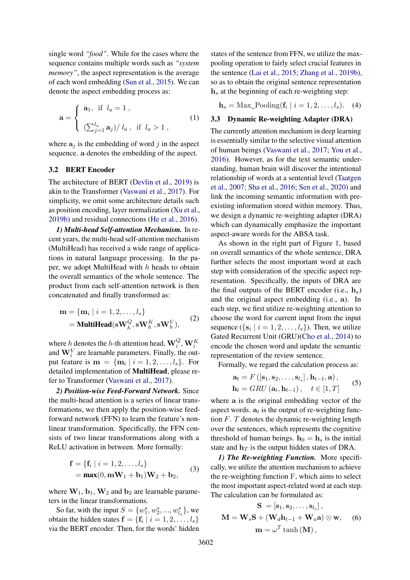single word *"food"*. While for the cases where the sequence contains multiple words such as *"system memory*", the aspect representation is the average of each word embedding [\(Sun et al.,](#page-10-16) [2015\)](#page-10-16). We can denote the aspect embedding process as:

$$
\mathbf{a} = \begin{cases} \mathbf{a}_1, & \text{if } l_a = 1, \\ \left(\sum_{j=1}^{l_a} \mathbf{a}_j\right) / l_a, & \text{if } l_a > 1, \end{cases}
$$
 (1)

where  $a_j$  is the embedding of word j in the aspect sequence. a denotes the embedding of the aspect.

# 3.2 BERT Encoder

The architecture of BERT [\(Devlin et al.,](#page-9-3) [2019\)](#page-9-3) is akin to the Transformer [\(Vaswani et al.,](#page-11-15) [2017\)](#page-11-15). For simplicity, we omit some architecture details such as position encoding, layer normalization [\(Xu et al.,](#page-11-17) [2019b\)](#page-11-17) and residual connections [\(He et al.,](#page-9-15) [2016\)](#page-9-15).

*1) Multi-head Self-attention Mechanism.* In recent years, the multi-head self-attention mechanism (MultiHead) has received a wide range of applications in natural language processing. In the paper, we adopt MultiHead with  $h$  heads to obtain the overall semantics of the whole sentence. The product from each self-attention network is then concatenated and finally transformed as:

$$
\mathbf{m} = \{ \mathbf{m}_i \mid i = 1, 2, \dots, l_s \}
$$
  
= **MultiHead**( $\mathbf{s}\mathbf{W}_h^Q, \mathbf{s}\mathbf{W}_h^K, \mathbf{s}\mathbf{W}_h^V$ ), (2)

where *h* denotes the *h*-th attention head,  $\mathbf{W}_i^Q$ ,  $\mathbf{W}_i^K$  and  $\mathbf{W}_i^V$  are learnable parameters. Finally, the output feature is  $\mathbf{m} = \{ \mathbf{m}_i \mid i = 1, 2, \dots, l_s \}.$  For detailed implementation of MultiHead, please refer to Transformer [\(Vaswani et al.,](#page-11-15) [2017\)](#page-11-15).

*2) Position-wise Feed-Forward Network.* Since the multi-head attention is a series of linear transformations, we then apply the position-wise feedforward network (FFN) to learn the feature's nonlinear transformation. Specifically, the FFN consists of two linear transformations along with a ReLU activation in between. More formally:

$$
\mathbf{f} = \{ \mathbf{f}_i \mid i = 1, 2, ..., l_s \}
$$
  
=  $\mathbf{max}(0, \mathbf{m}\mathbf{W}_1 + \mathbf{b}_1)\mathbf{W}_2 + \mathbf{b}_2,$  (3)

where  $W_1$ ,  $b_1$ ,  $W_2$  and  $b_2$  are learnable parameters in the linear transformations.

So far, with the input  $S = \{w_1^s, w_2^s, ..., w_{l_s}^s\}$ , we obtain the hidden states  $\mathbf{f} = \{ \mathbf{f}_i \mid i = 1, 2, \dots, l_s \}$ via the BERT encoder. Then, for the words' hidden states of the sentence from FFN, we utilize the maxpooling operation to fairly select crucial features in the sentence [\(Lai et al.,](#page-9-16) [2015;](#page-9-16) [Zhang et al.,](#page-11-18) [2019b\)](#page-11-18), so as to obtain the original sentence representation  $h<sub>s</sub>$  at the beginning of each re-weighting step:

 **(4)** 

# 3.3 Dynamic Re-weighting Adapter (DRA)

The currently attention mechanism in deep learning is essentially similar to the selective visual attention of human beings [\(Vaswani et al.,](#page-11-15) [2017;](#page-11-15) [You et al.,](#page-11-19) [2016\)](#page-11-19). However, as for the text semantic understanding, human brain will discover the intentional relationship of words at a sentential level [\(Taatgen](#page-10-17) [et al.,](#page-10-17) [2007;](#page-10-17) [Sha et al.,](#page-10-18) [2016;](#page-10-18) [Sen et al.,](#page-10-19) [2020\)](#page-10-19) and link the incoming semantic information with preexisting information stored within memory. Thus, we design a dynamic re-weighting adapter (DRA) which can dynamically emphasize the important aspect-aware words for the ABSA task.

As shown in the right part of Figure [1,](#page-2-0) based on overall semantics of the whole sentence, DRA further selects the most important word at each step with consideration of the specific aspect representation. Specifically, the inputs of DRA are the final outputs of the BERT encoder (i.e.,  $h_s$ ) and the original aspect embedding (i.e., a). In each step, we first utilize re-weighting attention to choose the word for current input from the input sequence  $({s_i | i = 1, 2, ..., l_s})$ . Then, we utilize Gated Recurrent Unit (GRU)[\(Cho et al.,](#page-9-17) [2014\)](#page-9-17) to encode the chosen word and update the semantic representation of the review sentence.

Formally, we regard the calculation process as:

<span id="page-3-0"></span>
$$
\mathbf{a}_{t} = F\left(\left[\mathbf{s}_{1}, \mathbf{s}_{2}, \ldots, \mathbf{s}_{l_{s}}\right], \mathbf{h}_{t-1}, \mathbf{a}\right),
$$
  
\n
$$
\mathbf{h}_{t} = GRU\left(\mathbf{a}_{t}, \mathbf{h}_{t-1}\right), \quad t \in [1, T]
$$
 (5)

where a is the original embedding vector of the aspect words.  $a_t$  is the output of re-weighting function F. T denotes the dynamic re-weighting length over the sentences, which represents the cognitive threshold of human beings.  $h_0 = h_s$  is the initial state and  $\mathbf{h}_T$  is the output hidden states of DRA.

*1) The Re-weighting Function.* More specifically, we utilize the attention mechanism to achieve the re-weighting function F, which aims to select the most important aspect-related word at each step. The calculation can be formulated as:

<span id="page-3-1"></span>
$$
\mathbf{S} = [\mathbf{s}_1, \mathbf{s}_2, \dots, \mathbf{s}_{l_s}],
$$
  
\n
$$
\mathbf{M} = \mathbf{W}_s \mathbf{S} + (\mathbf{W}_d \mathbf{h}_{t-1} + \mathbf{W}_a \mathbf{a}) \otimes \mathbf{w},
$$
 (6)  
\n
$$
\mathbf{m} = \omega^T \tanh(\mathbf{M}),
$$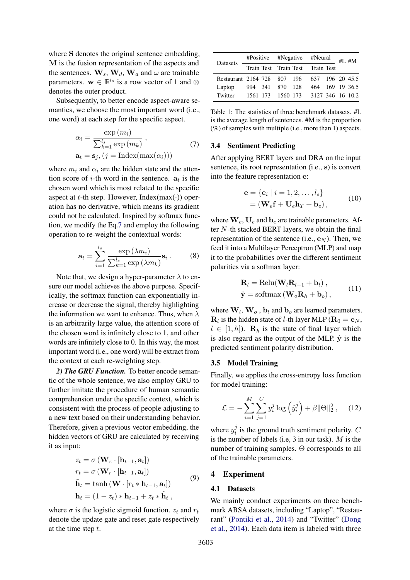where S denotes the original sentence embedding, M is the fusion representation of the aspects and the sentences.  $\mathbf{W}_s$ ,  $\mathbf{W}_d$ ,  $\mathbf{W}_a$  and  $\omega$  are trainable parameters.  $\mathbf{w} \in \mathbb{R}^{l_s}$  is a row vector of 1 and  $\otimes$ denotes the outer product.

Subsequently, to better encode aspect-aware semantics, we choose the most important word (i.e., one word) at each step for the specific aspect.

$$
\alpha_i = \frac{\exp(m_i)}{\sum_{k=1}^{l_s} \exp(m_k)},
$$
  
\n
$$
\mathbf{a}_t = \mathbf{s}_j, (j = \text{Index}(\max(\alpha_i)))
$$
\n(7)

where  $m_i$  and  $\alpha_i$  are the hidden state and the attention score of *i*-th word in the sentence.  $a_t$  is the chosen word which is most related to the specific aspect at t-th step. However, Index(max( $\cdot$ )) operation has no derivative, which means its gradient could not be calculated. Inspired by softmax function, we modify the Eq[.7](#page-4-0) and employ the following operation to re-weight the contextual words:

$$
\mathbf{a}_{t} = \sum_{i=1}^{l_s} \frac{\exp\left(\lambda m_i\right)}{\sum_{k=1}^{l_s} \exp\left(\lambda m_k\right)} \mathbf{s}_i . \tag{8}
$$

Note that, we design a hyper-parameter  $\lambda$  to ensure our model achieves the above purpose. Specifically, the softmax function can exponentially increase or decrease the signal, thereby highlighting the information we want to enhance. Thus, when  $\lambda$ is an arbitrarily large value, the attention score of the chosen word is infinitely close to 1, and other words are infinitely close to 0. In this way, the most important word (i.e., one word) will be extract from the context at each re-weighting step.

*2) The GRU Function.* To better encode semantic of the whole sentence, we also employ GRU to further imitate the procedure of human semantic comprehension under the specific context, which is consistent with the process of people adjusting to a new text based on their understanding behavior. Therefore, given a previous vector embedding, the hidden vectors of GRU are calculated by receiving it as input:

$$
z_{t} = \sigma (\mathbf{W}_{z} \cdot [\mathbf{h}_{t-1}, \mathbf{a}_{t}])
$$
  
\n
$$
r_{t} = \sigma (\mathbf{W}_{r} \cdot [\mathbf{h}_{t-1}, \mathbf{a}_{t}])
$$
  
\n
$$
\tilde{\mathbf{h}}_{t} = \tanh (\mathbf{W} \cdot [r_{t} * \mathbf{h}_{t-1}, \mathbf{a}_{t}])
$$
  
\n
$$
\mathbf{h}_{t} = (1 - z_{t}) * \mathbf{h}_{t-1} + z_{t} * \tilde{\mathbf{h}}_{t},
$$
\n(9)

where  $\sigma$  is the logistic sigmoid function.  $z_t$  and  $r_t$ denote the update gate and reset gate respectively at the time step  $t$ .

<span id="page-4-1"></span>

| Datasets                                    |  |  | #Positive #Negative #Neural $_{\text{HL}}$ #L |  |                                    |  |  |
|---------------------------------------------|--|--|-----------------------------------------------|--|------------------------------------|--|--|
|                                             |  |  | Train Test Train Test Train Test              |  |                                    |  |  |
| Restaurant 2164 728 807 196 637 196 20 45.5 |  |  |                                               |  |                                    |  |  |
| Laptop                                      |  |  |                                               |  | 994 341 870 128 464 169 19 36.5    |  |  |
| Twitter                                     |  |  |                                               |  | 1561 173 1560 173 3127 346 16 10.2 |  |  |

<span id="page-4-0"></span>Table 1: The statistics of three benchmark datasets. #L is the average length of sentences. #M is the proportion  $(\%)$  of samples with multiple (i.e., more than 1) aspects.

# 3.4 Sentiment Predicting

After applying BERT layers and DRA on the input sentence, its root representation (i.e., s) is convert into the feature representation e:

$$
\mathbf{e} = \{ \mathbf{e}_i \mid i = 1, 2, \dots, l_s \}
$$

$$
= (\mathbf{W}_e \mathbf{f} + \mathbf{U}_e \mathbf{h}_T + \mathbf{b}_e), \tag{10}
$$

where  $W_e$ ,  $U_e$  and  $b_e$  are trainable parameters. After N-th stacked BERT layers, we obtain the final representation of the sentence (i.e.,  $e_N$ ). Then, we feed it into a Multilayer Perceptron (MLP) and map it to the probabilities over the different sentiment polarities via a softmax layer:

$$
\mathbf{R}_{l} = \text{Relu}(\mathbf{W}_{l}\mathbf{R}_{l-1} + \mathbf{b}_{l}),
$$
  

$$
\hat{\mathbf{y}} = \text{softmax}(\mathbf{W}_{o}\mathbf{R}_{h} + \mathbf{b}_{o}),
$$
 (11)

where  $W_l$ ,  $W_o$ ,  $b_l$  and  $b_o$  are learned parameters.  **is the hidden state of** *l***-th layer MLP (** $**R**<sub>0</sub> = **e**<sub>N</sub>$ **,**  $l \in [1, h]$ ).  $\mathbf{R}_h$  is the state of final layer which is also regard as the output of the MLP.  $\hat{y}$  is the predicted sentiment polarity distribution.

### 3.5 Model Training

Finally, we applies the cross-entropy loss function for model training:

$$
\mathcal{L} = -\sum_{i=1}^{M} \sum_{j=1}^{C} y_i^j \log \left( \hat{y}_i^j \right) + \beta ||\Theta||_2^2 , \quad (12)
$$

where  $y_i^j$  $i_i^j$  is the ground truth sentiment polarity. C is the number of labels (i.e,  $3$  in our task).  $M$  is the number of training samples. Θ corresponds to all of the trainable parameters.

### 4 Experiment

#### 4.1 Datasets

We mainly conduct experiments on three benchmark ABSA datasets, including "Laptop", "Restaurant" [\(Pontiki et al.,](#page-10-20) [2014\)](#page-10-20) and "Twitter" [\(Dong](#page-9-18) [et al.,](#page-9-18) [2014\)](#page-9-18). Each data item is labeled with three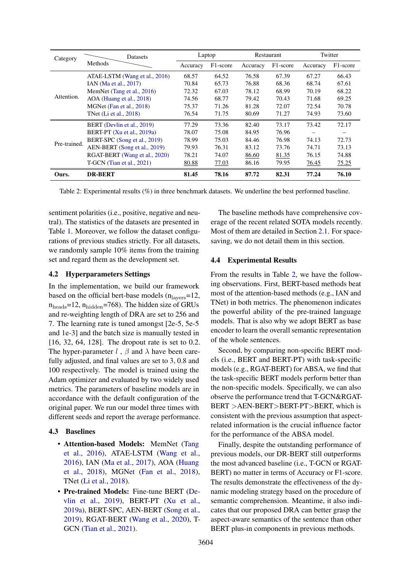<span id="page-5-0"></span>

| Category     | Datasets                      | Laptop   |          | <b>Restaurant</b> |          | Twitter  |          |
|--------------|-------------------------------|----------|----------|-------------------|----------|----------|----------|
|              | Methods                       | Accuracy | F1-score | Accuracy          | F1-score | Accuracy | F1-score |
|              | ATAE-LSTM (Wang et al., 2016) | 68.57    | 64.52    | 76.58             | 67.39    | 67.27    | 66.43    |
|              | IAN (Ma et al., 2017)         | 70.84    | 65.73    | 76.88             | 68.36    | 68.74    | 67.61    |
|              | MemNet (Tang et al., 2016)    | 72.32    | 67.03    | 78.12             | 68.99    | 70.19    | 68.22    |
| Attention.   | AOA (Huang et al., 2018)      | 74.56    | 68.77    | 79.42             | 70.43    | 71.68    | 69.25    |
|              | MGNet (Fan et al., 2018)      | 75.37    | 71.26    | 81.28             | 72.07    | 72.54    | 70.78    |
|              | TNet (Li et al., 2018)        | 76.54    | 71.75    | 80.69             | 71.27    | 74.93    | 73.60    |
| Pre-trained. | BERT (Devlin et al., 2019)    | 77.29    | 73.36    | 82.40             | 73.17    | 73.42    | 72.17    |
|              | BERT-PT (Xu et al., 2019a)    | 78.07    | 75.08    | 84.95             | 76.96    |          |          |
|              | BERT-SPC (Song et al., 2019)  | 78.99    | 75.03    | 84.46             | 76.98    | 74.13    | 72.73    |
|              | AEN-BERT (Song et al., 2019)  | 79.93    | 76.31    | 83.12             | 73.76    | 74.71    | 73.13    |
|              | RGAT-BERT (Wang et al., 2020) | 78.21    | 74.07    | 86.60             | 81.35    | 76.15    | 74.88    |
|              | $T-GCN$ (Tian et al., 2021)   | 80.88    | 77.03    | 86.16             | 79.95    | 76.45    | 75.25    |
| Ours.        | <b>DR-BERT</b>                | 81.45    | 78.16    | 87.72             | 82.31    | 77.24    | 76.10    |

Table 2: Experimental results (%) in three benchmark datasets. We underline the best performed baseline.

sentiment polarities (i.e., positive, negative and neutral). The statistics of the datasets are presented in Table [1.](#page-4-1) Moreover, we follow the dataset configurations of previous studies strictly. For all datasets, we randomly sample 10% items from the training set and regard them as the development set.

# 4.2 Hyperparameters Settings

In the implementation, we build our framework based on the official bert-base models  $(n<sub>layers</sub>=12,$  $n_{\text{heads}}$ =12,  $n_{\text{hidden}}$ =768). The hidden size of GRUs and re-weighting length of DRA are set to 256 and 7. The learning rate is tuned amongst [2e-5, 5e-5 and 1e-3] and the batch size is manually tested in [16, 32, 64, 128]. The dropout rate is set to 0.2. The hyper-parameter l,  $\beta$  and  $\lambda$  have been carefully adjusted, and final values are set to 3, 0.8 and 100 respectively. The model is trained using the Adam optimizer and evaluated by two widely used metrics. The parameters of baseline models are in accordance with the default configuration of the original paper. We run our model three times with different seeds and report the average performance.

# 4.3 Baselines

- Attention-based Models: MemNet [\(Tang](#page-10-2) [et al.,](#page-10-2) [2016\)](#page-10-2), ATAE-LSTM [\(Wang et al.,](#page-11-3) [2016\)](#page-11-3), IAN [\(Ma et al.,](#page-10-3) [2017\)](#page-10-3), AOA [\(Huang](#page-9-19) [et al.,](#page-9-19) [2018\)](#page-9-19), MGNet [\(Fan et al.,](#page-9-8) [2018\)](#page-9-8), TNet [\(Li et al.,](#page-10-6) [2018\)](#page-10-6).
- Pre-trained Models: Fine-tune BERT [\(De](#page-9-3)[vlin et al.,](#page-9-3) [2019\)](#page-9-3), BERT-PT [\(Xu et al.,](#page-11-6) [2019a\)](#page-11-6), BERT-SPC, AEN-BERT [\(Song et al.,](#page-10-4) [2019\)](#page-10-4), RGAT-BERT [\(Wang et al.,](#page-11-5) [2020\)](#page-11-5), T-GCN [\(Tian et al.,](#page-11-10) [2021\)](#page-11-10).

The baseline methods have comprehensive coverage of the recent related SOTA models recently. Most of them are detailed in Section [2.1.](#page-1-0) For spacesaving, we do not detail them in this section.

# 4.4 Experimental Results

From the results in Table [2,](#page-5-0) we have the following observations. First, BERT-based methods beat most of the attention-based methods (e.g., IAN and TNet) in both metrics. The phenomenon indicates the powerful ability of the pre-trained language models. That is also why we adopt BERT as base encoder to learn the overall semantic representation of the whole sentences.

Second, by comparing non-specific BERT models (i.e., BERT and BERT-PT) with task-specific models (e.g., RGAT-BERT) for ABSA, we find that the task-specific BERT models perform better than the non-specific models. Specifically, we can also observe the performance trend that T-GCN&RGAT-BERT >AEN-BERT>BERT-PT>BERT, which is consistent with the previous assumption that aspectrelated information is the crucial influence factor for the performance of the ABSA model.

Finally, despite the outstanding performance of previous models, our DR-BERT still outperforms the most advanced baseline (i.e., T-GCN or RGAT-BERT) no matter in terms of Accuracy or F1-score. The results demonstrate the effectiveness of the dynamic modeling strategy based on the procedure of semantic comprehension. Meantime, it also indicates that our proposed DRA can better grasp the aspect-aware semantics of the sentence than other BERT plus-in components in previous methods.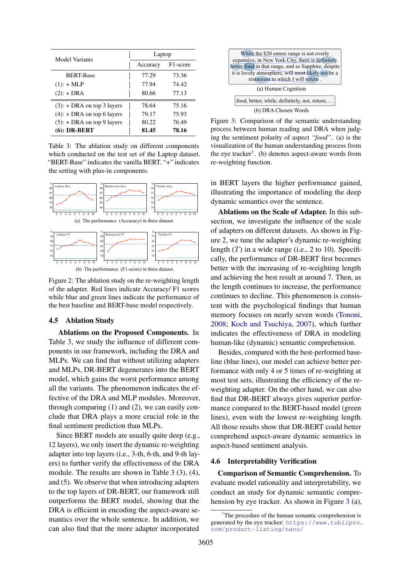<span id="page-6-0"></span>

| Model Variants                | Laptop   |                       |  |  |  |
|-------------------------------|----------|-----------------------|--|--|--|
|                               | Accuracy | F <sub>1</sub> -score |  |  |  |
| <b>BERT-Base</b>              | 77.29    | 73.36                 |  |  |  |
| $(1): + \text{MLP}$           | 77.94    | 74.42                 |  |  |  |
| $(2):$ + DRA                  | 80.66    | 77.13                 |  |  |  |
| $(3)$ : + DRA on top 3 layers | 78.64    | 75.16                 |  |  |  |
| $(4)$ : + DRA on top 6 layers | 79.17    | 75.93                 |  |  |  |
| $(5)$ : + DRA on top 9 layers | 80.22    | 76.49                 |  |  |  |
| $(6)$ : DR-BERT               | 81.45    | 78.16                 |  |  |  |

Table 3: The ablation study on different components which conducted on the test set of the Laptop dataset. "BERT-Base" indicates the vanilla BERT. "+" indicates the setting with plus-in components.

<span id="page-6-1"></span>

(b) The performance (F1-score) in three dataset.

Figure 2: The ablation study on the re-weighting length of the adapter. Red lines indicate Accuracy/ F1 scores while blue and green lines indicate the performance of the best baseline and BERT-base model respectively.

# 4.5 Ablation Study

Ablations on the Proposed Components. In Table [3,](#page-6-0) we study the influence of different components in our framework, including the DRA and MLPs. We can find that without utilizing adapters and MLPs, DR-BERT degenerates into the BERT model, which gains the worst performance among all the variants. The phenomenon indicates the effective of the DRA and MLP modules. Moreover, through comparing (1) and (2), we can easily conclude that DRA plays a more crucial role in the final sentiment prediction than MLPs.

Since BERT models are usually quite deep (e.g., 12 layers), we only insert the dynamic re-weighting adapter into top layers (i.e., 3-th, 6-th, and 9-th layers) to further verify the effectiveness of the DRA module. The results are shown in Table [3](#page-6-0) (3), (4), and (5). We observe that when introducing adapters to the top layers of DR-BERT, our framework still outperforms the BERT model, showing that the DRA is efficient in encoding the aspect-aware semantics over the whole sentence. In addition, we can also find that the more adapter incorporated

<span id="page-6-2"></span>

Figure 3: Comparison of the semantic understanding process between human reading and DRA when judging the sentiment polarity of aspect *"food"*. (a) is the visualization of the human understanding process from the eye tracker† . (b) denotes aspect-aware words from re-weighting function.

in BERT layers the higher performance gained, illustrating the importance of modeling the deep dynamic semantics over the sentence.

Ablations on the Scale of Adapter. In this subsection, we investigate the influence of the scale of adapters on different datasets. As shown in Figure [2,](#page-6-1) we tune the adapter's dynamic re-weighting length  $(T)$  in a wide range (i.e., 2 to 10). Specifically, the performance of DR-BERT first becomes better with the increasing of re-weighting length and achieving the best result at around 7. Then, as the length continues to increase, the performance continues to decline. This phenomenon is consistent with the psychological findings that human memory focuses on nearly seven words [\(Tononi,](#page-11-7) [2008;](#page-11-7) [Koch and Tsuchiya,](#page-9-14) [2007\)](#page-9-14), which further indicates the effectiveness of DRA in modeling human-like (dynamic) semantic comprehension.

Besides, compared with the best-performed baseline (blue lines), our model can achieve better performance with only 4 or 5 times of re-weighting at most test sets, illustrating the efficiency of the reweighting adapter. On the other hand, we can also find that DR-BERT always gives superior performance compared to the BERT-based model (green lines), even with the lowest re-weighting length. All those results show that DR-BERT could better comprehend aspect-aware dynamic semantics in aspect-based sentiment analysis.

#### 4.6 Interpretability Verification

Comparison of Semantic Comprehension. To evaluate model rationality and interpretability, we conduct an study for dynamic semantic comprehension by eye tracker. As shown in Figure [3](#page-6-2) (a),

<sup>&</sup>lt;sup>†</sup>The procedure of the human semantic comprehension is generated by the eye tracker: [https://www.tobiipro.](https://www.tobiipro.com/product-listing/nano/) [com/product-listing/nano/](https://www.tobiipro.com/product-listing/nano/)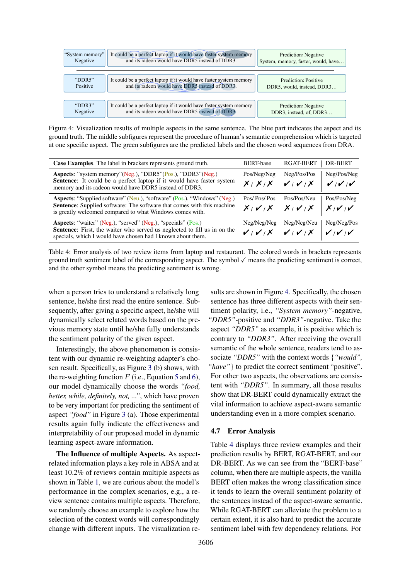<span id="page-7-0"></span>

| "System memory" | It could be a perfect laptop if it would have faster system memory | Prediction: Negative                |
|-----------------|--------------------------------------------------------------------|-------------------------------------|
| Negative        | and its radeon would have DDR5 instead of DDR3.                    | System, memory, faster, would, have |
| "DDR5"          | It could be a perfect laptop if it would have faster system memory | Prediction: Positive                |
| Positive        | and its radeon would have DDR5 instead of DDR3.                    | DDR5, would, instead, DDR3          |
| "DDR $3$ "      | It could be a perfect laptop if it would have faster system memory | Prediction: Negative                |
| Negative        | and its radeon would have DDR5 instead of DDR3.                    | DDR3, instead, of, DDR3             |

Figure 4: Visualization results of multiple aspects in the same sentence. The blue part indicates the aspect and its ground truth. The middle subfigures represent the procedure of human's semantic comprehension which is targeted at one specific aspect. The green subfigures are the predicted labels and the chosen word sequences from DRA.

<span id="page-7-1"></span>

| <b>Case Examples.</b> The label in brackets represents ground truth.                                                                                                                                                         | <b>BERT-base</b>               | <b>RGAT-BERT</b> | DR-BERT              |
|------------------------------------------------------------------------------------------------------------------------------------------------------------------------------------------------------------------------------|--------------------------------|------------------|----------------------|
| Aspects: "system memory"(Neg.), "DDR5"(Pos.), "DDR3"(Neg.)<br>Sentence: It could be a perfect laptop if it would have faster system<br>memory and its radeon would have DDR5 instead of DDR3.                                | Pos/Neg/Neg<br>$X/X/X$ $V/Y/X$ | Neg/Pos/Pos      | Neg/Pos/Neg<br>v/v/v |
| <b>Aspects: "Supplied software" (Neu.), "software" (Pos.), "Windows" (Neg.)</b><br><b>Sentence:</b> Supplied software: The software that comes with this machine<br>is greatly welcomed compared to what Windows comes with. | Pos/Pos/Pos<br>$X/V/X$ $X/V/X$ | Pos/Pos/Neu      | Pos/Pos/Neg<br>X/V/V |
| <b>Aspects:</b> "waiter" (Neg.), "served" (Neg.), "specials" (Pos.)<br><b>Sentence:</b> First, the waiter who served us neglected to fill us in on the<br>specials, which I would have chosen had I known about them.        | Neg/Neg/Neg<br>$V/V/X$ $V/V/X$ | Neg/Neg/Neu      | Neg/Neg/Pos<br>v/v/v |

Table 4: Error analysis of two review items from laptop and restaurant. The colored words in brackets represents ground truth sentiment label of the corresponding aspect. The symbol  $\checkmark$  means the predicting sentiment is correct, and the other symbol means the predicting sentiment is wrong.

when a person tries to understand a relatively long sentence, he/she first read the entire sentence. Subsequently, after giving a specific aspect, he/she will dynamically select related words based on the previous memory state until he/she fully understands the sentiment polarity of the given aspect.

Interestingly, the above phenomenon is consistent with our dynamic re-weighting adapter's chosen result. Specifically, as Figure [3](#page-6-2) (b) shows, with the re-weighting function  $F$  (i.e., Equation [5](#page-3-0) and [6\)](#page-3-1), our model dynamically choose the words *"food, better, while, definitely, not, ..."*, which have proven to be very important for predicting the sentiment of aspect *"food"* in Figure [3](#page-6-2) (a). Those experimental results again fully indicate the effectiveness and interpretability of our proposed model in dynamic learning aspect-aware information.

The Influence of multiple Aspects. As aspectrelated information plays a key role in ABSA and at least 10.2% of reviews contain multiple aspects as shown in Table [1,](#page-4-1) we are curious about the model's performance in the complex scenarios, e.g., a review sentence contains multiple aspects. Therefore, we randomly choose an example to explore how the selection of the context words will correspondingly change with different inputs. The visualization re-

sults are shown in Figure [4.](#page-7-0) Specifically, the chosen sentence has three different aspects with their sentiment polarity, i.e., *"System memory"*-negative, *"DDR5"*-positive and *"DDR3"*-negative. Take the aspect *"DDR5"* as example, it is positive which is contrary to *"DDR3"*. After receiving the overall semantic of the whole sentence, readers tend to associate *"DDR5"* with the context words {*"would", "have"*} to predict the correct sentiment "positive". For other two aspects, the observations are consistent with *"DDR5"*. In summary, all those results show that DR-BERT could dynamically extract the vital information to achieve aspect-aware semantic understanding even in a more complex scenario.

# 4.7 Error Analysis

Table [4](#page-7-1) displays three review examples and their prediction results by BERT, RGAT-BERT, and our DR-BERT. As we can see from the "BERT-base" column, when there are multiple aspects, the vanilla BERT often makes the wrong classification since it tends to learn the overall sentiment polarity of the sentences instead of the aspect-aware semantic. While RGAT-BERT can alleviate the problem to a certain extent, it is also hard to predict the accurate sentiment label with few dependency relations. For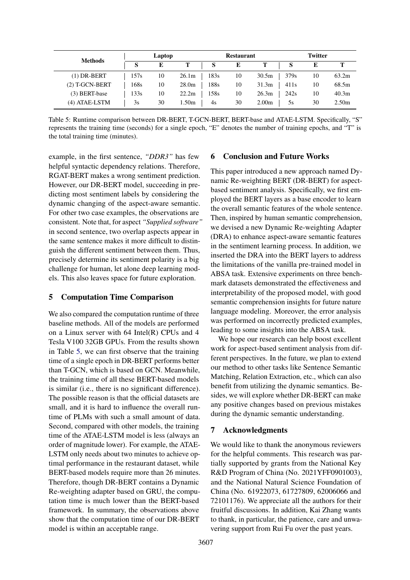<span id="page-8-0"></span>

| <b>Methods</b>   |      | Laptop |       |      | <b>Restaurant</b> |                   |                  | <b>Twitter</b> |                   |
|------------------|------|--------|-------|------|-------------------|-------------------|------------------|----------------|-------------------|
|                  | S    | E      |       | S    | E                 |                   | S                |                | т                 |
| $(1)$ DR-BERT    | 157s | 10     | 26.1m | 183s | 10                | 30.5 <sub>m</sub> | 379 <sub>s</sub> | 10             | 63.2m             |
| $(2)$ T-GCN-BERT | 168s | 10     | 28.0m | 188s | 10                | 31.3m             | 411 <sub>s</sub> | 10             | 68.5m             |
| (3) BERT-base    | 133s | 10     | 22.2m | 158s | 10                | 26.3 <sub>m</sub> | 242s             | 10             | 40.3 <sub>m</sub> |
| (4) ATAE-LSTM    | 3s   | 30     | 1.50m | 4s   | 30                | 2.00 <sub>m</sub> | эs               | 30             | 2.50 <sub>m</sub> |

Table 5: Runtime comparison between DR-BERT, T-GCN-BERT, BERT-base and ATAE-LSTM. Specifically, "S" represents the training time (seconds) for a single epoch, "E" denotes the number of training epochs, and "T" is the total training time (minutes).

example, in the first sentence, *"DDR3"* has few helpful syntactic dependency relations. Therefore, RGAT-BERT makes a wrong sentiment prediction. However, our DR-BERT model, succeeding in predicting most sentiment labels by considering the dynamic changing of the aspect-aware semantic. For other two case examples, the observations are consistent. Note that, for aspect *"Supplied software"* in second sentence, two overlap aspects appear in the same sentence makes it more difficult to distinguish the different sentiment between them. Thus, precisely determine its sentiment polarity is a big challenge for human, let alone deep learning models. This also leaves space for future exploration.

# 5 Computation Time Comparison

We also compared the computation runtime of three baseline methods. All of the models are performed on a Linux server with 64 Intel(R) CPUs and 4 Tesla V100 32GB GPUs. From the results shown in Table [5,](#page-8-0) we can first observe that the training time of a single epoch in DR-BERT performs better than T-GCN, which is based on GCN. Meanwhile, the training time of all these BERT-based models is similar (i.e., there is no significant difference). The possible reason is that the official datasets are small, and it is hard to influence the overall runtime of PLMs with such a small amount of data. Second, compared with other models, the training time of the ATAE-LSTM model is less (always an order of magnitude lower). For example, the ATAE-LSTM only needs about two minutes to achieve optimal performance in the restaurant dataset, while BERT-based models require more than 26 minutes. Therefore, though DR-BERT contains a Dynamic Re-weighting adapter based on GRU, the computation time is much lower than the BERT-based framework. In summary, the observations above show that the computation time of our DR-BERT model is within an acceptable range.

# 6 Conclusion and Future Works

This paper introduced a new approach named Dynamic Re-weighting BERT (DR-BERT) for aspectbased sentiment analysis. Specifically, we first employed the BERT layers as a base encoder to learn the overall semantic features of the whole sentence. Then, inspired by human semantic comprehension, we devised a new Dynamic Re-weighting Adapter (DRA) to enhance aspect-aware semantic features in the sentiment learning process. In addition, we inserted the DRA into the BERT layers to address the limitations of the vanilla pre-trained model in ABSA task. Extensive experiments on three benchmark datasets demonstrated the effectiveness and interpretability of the proposed model, with good semantic comprehension insights for future nature language modeling. Moreover, the error analysis was performed on incorrectly predicted examples, leading to some insights into the ABSA task.

We hope our research can help boost excellent work for aspect-based sentiment analysis from different perspectives. In the future, we plan to extend our method to other tasks like Sentence Semantic Matching, Relation Extraction, etc., which can also benefit from utilizing the dynamic semantics. Besides, we will explore whether DR-BERT can make any positive changes based on previous mistakes during the dynamic semantic understanding.

# 7 Acknowledgments

We would like to thank the anonymous reviewers for the helpful comments. This research was partially supported by grants from the National Key R&D Program of China (No. 2021YFF0901003), and the National Natural Science Foundation of China (No. 61922073, 61727809, 62006066 and 72101176). We appreciate all the authors for their fruitful discussions. In addition, Kai Zhang wants to thank, in particular, the patience, care and unwavering support from Rui Fu over the past years.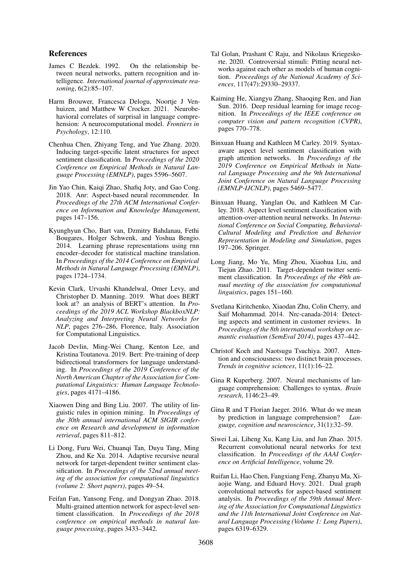# References

- <span id="page-9-12"></span>James C Bezdek. 1992. On the relationship between neural networks, pattern recognition and intelligence. *International journal of approximate reasoning*, 6(2):85–107.
- <span id="page-9-5"></span>Harm Brouwer, Francesca Delogu, Noortje J Venhuizen, and Matthew W Crocker. 2021. Neurobehavioral correlates of surprisal in language comprehension: A neurocomputational model. *Frontiers in Psychology*, 12:110.
- <span id="page-9-9"></span>Chenhua Chen, Zhiyang Teng, and Yue Zhang. 2020. Inducing target-specific latent structures for aspect sentiment classification. In *Proceedings of the 2020 Conference on Empirical Methods in Natural Language Processing (EMNLP)*, pages 5596–5607.
- <span id="page-9-1"></span>Jin Yao Chin, Kaiqi Zhao, Shafiq Joty, and Gao Cong. 2018. Anr: Aspect-based neural recommender. In *Proceedings of the 27th ACM International Conference on Information and Knowledge Management*, pages 147–156.
- <span id="page-9-17"></span>Kyunghyun Cho, Bart van, Dzmitry Bahdanau, Fethi Bougares, Holger Schwenk, and Yoshua Bengio. 2014. Learning phrase representations using rnn encoder–decoder for statistical machine translation. In *Proceedings of the 2014 Conference on Empirical Methods in Natural Language Processing (EMNLP)*, pages 1724–1734.
- Kevin Clark, Urvashi Khandelwal, Omer Levy, and Christopher D. Manning. 2019. What does BERT look at? an analysis of BERT's attention. In *Proceedings of the 2019 ACL Workshop BlackboxNLP: Analyzing and Interpreting Neural Networks for NLP*, pages 276–286, Florence, Italy. Association for Computational Linguistics.
- <span id="page-9-3"></span>Jacob Devlin, Ming-Wei Chang, Kenton Lee, and Kristina Toutanova. 2019. Bert: Pre-training of deep bidirectional transformers for language understanding. In *Proceedings of the 2019 Conference of the North American Chapter of the Association for Computational Linguistics: Human Language Technologies*, pages 4171–4186.
- <span id="page-9-6"></span>Xiaowen Ding and Bing Liu. 2007. The utility of linguistic rules in opinion mining. In *Proceedings of the 30th annual international ACM SIGIR conference on Research and development in information retrieval*, pages 811–812.
- <span id="page-9-18"></span>Li Dong, Furu Wei, Chuanqi Tan, Duyu Tang, Ming Zhou, and Ke Xu. 2014. Adaptive recursive neural network for target-dependent twitter sentiment classification. In *Proceedings of the 52nd annual meeting of the association for computational linguistics (volume 2: Short papers)*, pages 49–54.
- <span id="page-9-8"></span>Feifan Fan, Yansong Feng, and Dongyan Zhao. 2018. Multi-grained attention network for aspect-level sentiment classification. In *Proceedings of the 2018 conference on empirical methods in natural language processing*, pages 3433–3442.
- <span id="page-9-13"></span>Tal Golan, Prashant C Raju, and Nikolaus Kriegeskorte. 2020. Controversial stimuli: Pitting neural networks against each other as models of human cognition. *Proceedings of the National Academy of Sciences*, 117(47):29330–29337.
- <span id="page-9-15"></span>Kaiming He, Xiangyu Zhang, Shaoqing Ren, and Jian Sun. 2016. Deep residual learning for image recognition. In *Proceedings of the IEEE conference on computer vision and pattern recognition (CVPR)*, pages 770–778.
- <span id="page-9-2"></span>Binxuan Huang and Kathleen M Carley. 2019. Syntaxaware aspect level sentiment classification with graph attention networks. In *Proceedings of the 2019 Conference on Empirical Methods in Natural Language Processing and the 9th International Joint Conference on Natural Language Processing (EMNLP-IJCNLP)*, pages 5469–5477.
- <span id="page-9-19"></span>Binxuan Huang, Yanglan Ou, and Kathleen M Carley. 2018. Aspect level sentiment classification with attention-over-attention neural networks. In *International Conference on Social Computing, Behavioral-Cultural Modeling and Prediction and Behavior Representation in Modeling and Simulation*, pages 197–206. Springer.
- <span id="page-9-0"></span>Long Jiang, Mo Yu, Ming Zhou, Xiaohua Liu, and Tiejun Zhao. 2011. Target-dependent twitter sentiment classification. In *Proceedings of the 49th annual meeting of the association for computational linguistics*, pages 151–160.
- <span id="page-9-7"></span>Svetlana Kiritchenko, Xiaodan Zhu, Colin Cherry, and Saif Mohammad. 2014. Nrc-canada-2014: Detecting aspects and sentiment in customer reviews. In *Proceedings of the 8th international workshop on semantic evaluation (SemEval 2014)*, pages 437–442.
- <span id="page-9-14"></span>Christof Koch and Naotsugu Tsuchiya. 2007. Attention and consciousness: two distinct brain processes. *Trends in cognitive sciences*, 11(1):16–22.
- <span id="page-9-4"></span>Gina R Kuperberg. 2007. Neural mechanisms of language comprehension: Challenges to syntax. *Brain research*, 1146:23–49.
- <span id="page-9-11"></span>Gina R and T Florian Jaeger. 2016. What do we mean by prediction in language comprehension? *Language, cognition and neuroscience*, 31(1):32–59.
- <span id="page-9-16"></span>Siwei Lai, Liheng Xu, Kang Liu, and Jun Zhao. 2015. Recurrent convolutional neural networks for text classification. In *Proceedings of the AAAI Conference on Artificial Intelligence*, volume 29.
- <span id="page-9-10"></span>Ruifan Li, Hao Chen, Fangxiang Feng, Zhanyu Ma, Xiaojie Wang, and Eduard Hovy. 2021. Dual graph convolutional networks for aspect-based sentiment analysis. In *Proceedings of the 59th Annual Meeting of the Association for Computational Linguistics and the 11th International Joint Conference on Natural Language Processing (Volume 1: Long Papers)*, pages 6319–6329.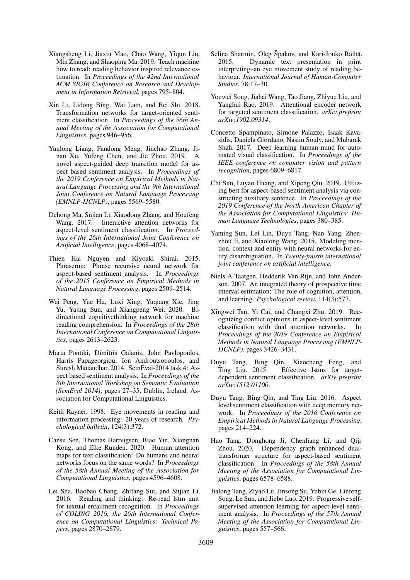- <span id="page-10-11"></span>Xiangsheng Li, Jiaxin Mao, Chao Wang, Yiqun Liu, Min Zhang, and Shaoping Ma. 2019. Teach machine how to read: reading behavior inspired relevance estimation. In *Proceedings of the 42nd International ACM SIGIR Conference on Research and Development in Information Retrieval*, pages 795–804.
- <span id="page-10-6"></span>Xin Li, Lidong Bing, Wai Lam, and Bei Shi. 2018. Transformation networks for target-oriented sentiment classification. In *Proceedings of the 56th Annual Meeting of the Association for Computational Linguistics*, pages 946–956.
- <span id="page-10-5"></span>Yunlong Liang, Fandong Meng, Jinchao Zhang, Jinan Xu, Yufeng Chen, and Jie Zhou. 2019. A novel aspect-guided deep transition model for aspect based sentiment analysis. In *Proceedings of the 2019 Conference on Empirical Methods in Natural Language Processing and the 9th International Joint Conference on Natural Language Processing (EMNLP-IJCNLP)*, pages 5569–5580.
- <span id="page-10-3"></span>Dehong Ma, Sujian Li, Xiaodong Zhang, and Houfeng Wang. 2017. Interactive attention networks for aspect-level sentiment classification. In *Proceedings of the 26th International Joint Conference on Artificial Intelligence*, pages 4068–4074.
- <span id="page-10-0"></span>Thien Hai Nguyen and Kiyoaki Shirai. 2015. Phrasernn: Phrase recursive neural network for aspect-based sentiment analysis. In *Proceedings of the 2015 Conference on Empirical Methods in Natural Language Processing*, pages 2509–2514.
- <span id="page-10-12"></span>Wei Peng, Yue Hu, Luxi Xing, Yuqiang Xie, Jing Yu, Yajing Sun, and Xiangpeng Wei. 2020. Bidirectional cognitivethinking network for machine reading comprehension. In *Proceedings of the 28th International Conference on Computational Linguistics*, pages 2613–2623.
- <span id="page-10-20"></span>Maria Pontiki, Dimitris Galanis, John Pavlopoulos, Harris Papageorgiou, Ion Androutsopoulos, and Suresh Manandhar. 2014. SemEval-2014 task 4: Aspect based sentiment analysis. In *Proceedings of the 8th International Workshop on Semantic Evaluation (SemEval 2014)*, pages 27–35, Dublin, Ireland. Association for Computational Linguistics.
- <span id="page-10-14"></span>Keith Rayner. 1998. Eye movements in reading and information processing: 20 years of research. *Psychological bulletin*, 124(3):372.
- <span id="page-10-19"></span>Cansu Sen, Thomas Hartvigsen, Biao Yin, Xiangnan Kong, and Elke Runden. 2020. Human attention maps for text classification: Do humans and neural networks focus on the same words? In *Proceedings of the 58th Annual Meeting of the Association for Computational Linguistics*, pages 4596–4608.
- <span id="page-10-18"></span>Lei Sha, Baobao Chang, Zhifang Sui, and Sujian Li. 2016. Reading and thinking: Re-read lstm unit for textual entailment recognition. In *Proceedings of COLING 2016, the 26th International Conference on Computational Linguistics: Technical Papers*, pages 2870–2879.
- <span id="page-10-15"></span>Selina Sharmin, Oleg Špakov, and Kari-Jouko Räihä. 2015. Dynamic text presentation in print interpreting–an eye movement study of reading behaviour. *International Journal of Human-Computer Studies*, 78:17–30.
- <span id="page-10-4"></span>Youwei Song, Jiahai Wang, Tao Jiang, Zhiyue Liu, and Yanghui Rao. 2019. Attentional encoder network for targeted sentiment classification. *arXiv preprint arXiv:1902.09314*.
- <span id="page-10-13"></span>Concetto Spampinato, Simone Palazzo, Isaak Kavasidis, Daniela Giordano, Nasim Souly, and Mubarak Shah. 2017. Deep learning human mind for automated visual classification. In *Proceedings of the IEEE conference on computer vision and pattern recognition*, pages 6809–6817.
- <span id="page-10-9"></span>Chi Sun, Luyao Huang, and Xipeng Qiu. 2019. Utilizing bert for aspect-based sentiment analysis via constructing auxiliary sentence. In *Proceedings of the 2019 Conference of the North American Chapter of the Association for Computational Linguistics: Human Language Technologies*, pages 380–385.
- <span id="page-10-16"></span>Yaming Sun, Lei Lin, Duyu Tang, Nan Yang, Zhenzhou Ji, and Xiaolong Wang. 2015. Modeling mention, context and entity with neural networks for entity disambiguation. In *Twenty-fourth international joint conference on artificial intelligence*.
- <span id="page-10-17"></span>Niels A Taatgen, Hedderik Van Rijn, and John Anderson. 2007. An integrated theory of prospective time interval estimation: The role of cognition, attention, and learning. *Psychological review*, 114(3):577.
- <span id="page-10-7"></span>Xingwei Tan, Yi Cai, and Changxi Zhu. 2019. Recognizing conflict opinions in aspect-level sentiment classification with dual attention networks. In *Proceedings of the 2019 Conference on Empirical Methods in Natural Language Processing (EMNLP-IJCNLP)*, pages 3426–3431.
- <span id="page-10-1"></span>Duyu Tang, Bing Qin, Xiaocheng Feng, and Effective lstms for targetdependent sentiment classification. *arXiv preprint arXiv:1512.01100*.
- <span id="page-10-2"></span>Duyu Tang, Bing Qin, and Ting Liu. 2016. Aspect level sentiment classification with deep memory network. In *Proceedings of the 2016 Conference on Empirical Methods in Natural Language Processing*, pages 214–224.
- <span id="page-10-10"></span>Hao Tang, Donghong Ji, Chenliang Li, and Qiji Zhou. 2020. Dependency graph enhanced dualtransformer structure for aspect-based sentiment classification. In *Proceedings of the 58th Annual Meeting of the Association for Computational Linguistics*, pages 6578–6588.
- <span id="page-10-8"></span>Jialong Tang, Ziyao Lu, Jinsong Su, Yubin Ge, Linfeng Song, Le Sun, and Jiebo Luo. 2019. Progressive selfsupervised attention learning for aspect-level sentiment analysis. In *Proceedings of the 57th Annual Meeting of the Association for Computational Linguistics*, pages 557–566.